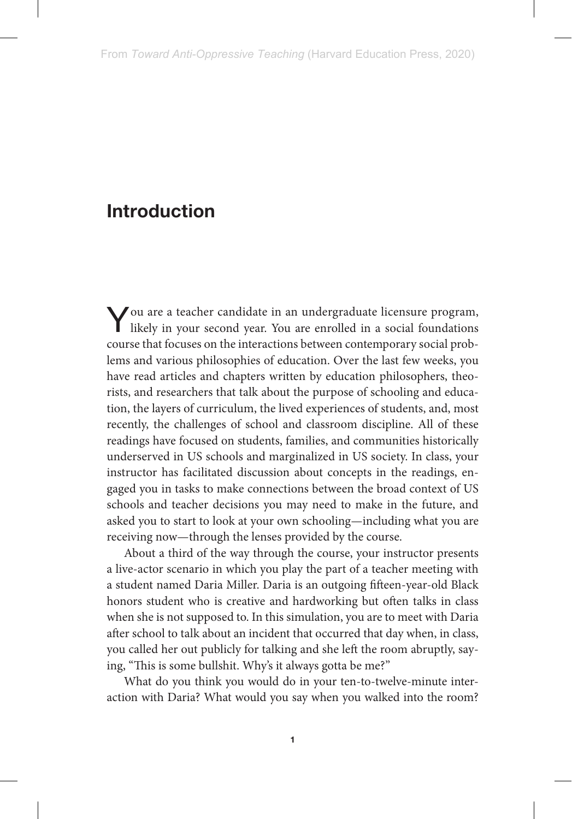You are a teacher candidate in an undergraduate licensure program, likely in your second year. You are enrolled in a social foundations course that focuses on the interactions between contemporary social problems and various philosophies of education. Over the last few weeks, you have read articles and chapters written by education philosophers, theorists, and researchers that talk about the purpose of schooling and education, the layers of curriculum, the lived experiences of students, and, most recently, the challenges of school and classroom discipline. All of these readings have focused on students, families, and communities historically underserved in US schools and marginalized in US society. In class, your instructor has facilitated discussion about concepts in the readings, engaged you in tasks to make connections between the broad context of US schools and teacher decisions you may need to make in the future, and asked you to start to look at your own schooling—including what you are receiving now—through the lenses provided by the course.

About a third of the way through the course, your instructor presents a live-actor scenario in which you play the part of a teacher meeting with a student named Daria Miller. Daria is an outgoing fifteen-year-old Black honors student who is creative and hardworking but often talks in class when she is not supposed to. In this simulation, you are to meet with Daria after school to talk about an incident that occurred that day when, in class, you called her out publicly for talking and she left the room abruptly, saying, "This is some bullshit. Why's it always gotta be me?"

What do you think you would do in your ten-to-twelve-minute interaction with Daria? What would you say when you walked into the room?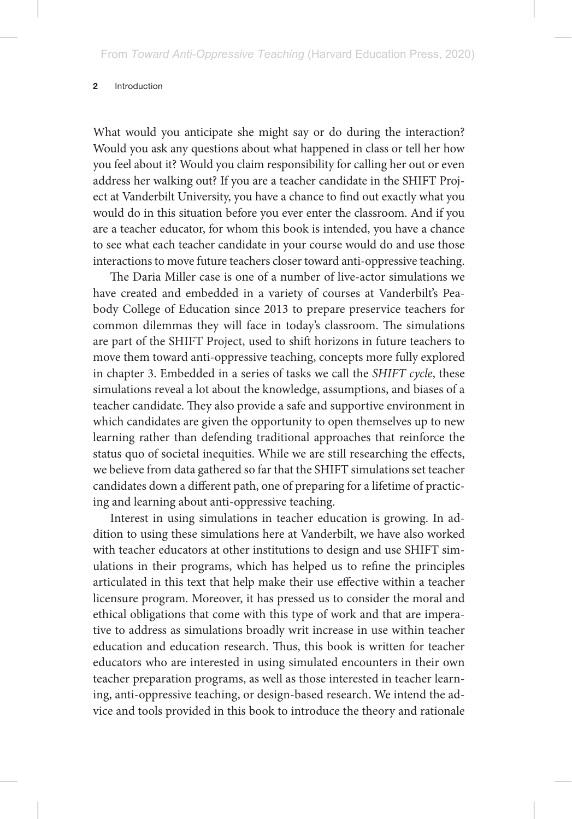What would you anticipate she might say or do during the interaction? Would you ask any questions about what happened in class or tell her how you feel about it? Would you claim responsibility for calling her out or even address her walking out? If you are a teacher candidate in the SHIFT Project at Vanderbilt University, you have a chance to find out exactly what you would do in this situation before you ever enter the classroom. And if you are a teacher educator, for whom this book is intended, you have a chance to see what each teacher candidate in your course would do and use those interactions to move future teachers closer toward anti-oppressive teaching.

The Daria Miller case is one of a number of live-actor simulations we have created and embedded in a variety of courses at Vanderbilt's Peabody College of Education since 2013 to prepare preservice teachers for common dilemmas they will face in today's classroom. The simulations are part of the SHIFT Project, used to shift horizons in future teachers to move them toward anti-oppressive teaching, concepts more fully explored in chapter 3. Embedded in a series of tasks we call the *SHIFT cycle*, these simulations reveal a lot about the knowledge, assumptions, and biases of a teacher candidate. They also provide a safe and supportive environment in which candidates are given the opportunity to open themselves up to new learning rather than defending traditional approaches that reinforce the status quo of societal inequities. While we are still researching the effects, we believe from data gathered so far that the SHIFT simulations set teacher candidates down a different path, one of preparing for a lifetime of practicing and learning about anti-oppressive teaching.

Interest in using simulations in teacher education is growing. In addition to using these simulations here at Vanderbilt, we have also worked with teacher educators at other institutions to design and use SHIFT simulations in their programs, which has helped us to refine the principles articulated in this text that help make their use effective within a teacher licensure program. Moreover, it has pressed us to consider the moral and ethical obligations that come with this type of work and that are imperative to address as simulations broadly writ increase in use within teacher education and education research. Thus, this book is written for teacher educators who are interested in using simulated encounters in their own teacher preparation programs, as well as those interested in teacher learning, anti-oppressive teaching, or design-based research. We intend the advice and tools provided in this book to introduce the theory and rationale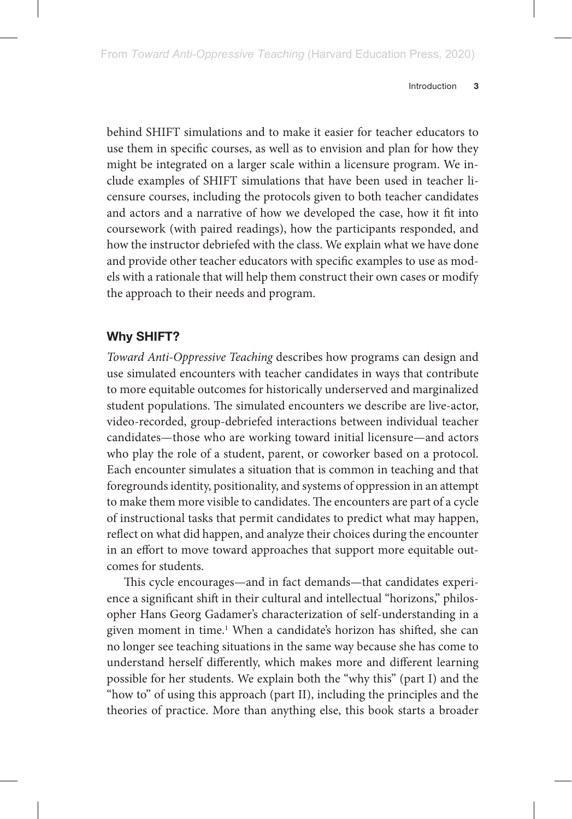behind SHIFT simulations and to make it easier for teacher educators to use them in specific courses, as well as to envision and plan for how they might be integrated on a larger scale within a licensure program. We include examples of SHIFT simulations that have been used in teacher licensure courses, including the protocols given to both teacher candidates and actors and a narrative of how we developed the case, how it fit into coursework (with paired readings), how the participants responded, and how the instructor debriefed with the class. We explain what we have done and provide other teacher educators with specific examples to use as models with a rationale that will help them construct their own cases or modify the approach to their needs and program.

## **Why SHIFT?**

*Toward Anti-Oppressive Teaching* describes how programs can design and use simulated encounters with teacher candidates in ways that contribute to more equitable outcomes for historically underserved and marginalized student populations. The simulated encounters we describe are live-actor, video-recorded, group-debriefed interactions between individual teacher candidates—those who are working toward initial licensure—and actors who play the role of a student, parent, or coworker based on a protocol. Each encounter simulates a situation that is common in teaching and that foregrounds identity, positionality, and systems of oppression in an attempt to make them more visible to candidates. The encounters are part of a cycle of instructional tasks that permit candidates to predict what may happen, reflect on what did happen, and analyze their choices during the encounter in an effort to move toward approaches that support more equitable outcomes for students.

This cycle encourages—and in fact demands—that candidates experience a significant shift in their cultural and intellectual "horizons," philosopher Hans Georg Gadamer's characterization of self-understanding in a given moment in time.1 When a candidate's horizon has shifted, she can no longer see teaching situations in the same way because she has come to understand herself differently, which makes more and different learning possible for her students. We explain both the "why this" (part I) and the "how to" of using this approach (part II), including the principles and the theories of practice. More than anything else, this book starts a broader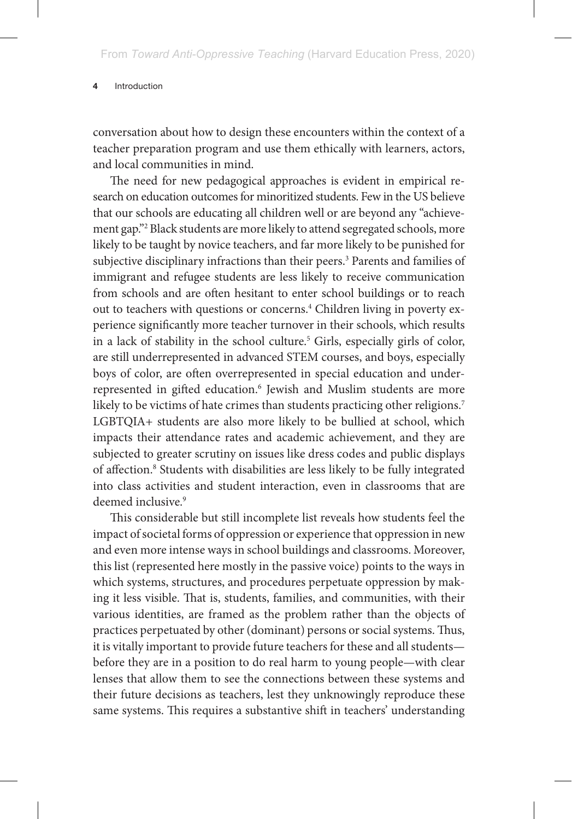conversation about how to design these encounters within the context of a teacher preparation program and use them ethically with learners, actors, and local communities in mind.

The need for new pedagogical approaches is evident in empirical research on education outcomes for minoritized students. Few in the US believe that our schools are educating all children well or are beyond any "achievement gap."2 Black students are more likely to attend segregated schools, more likely to be taught by novice teachers, and far more likely to be punished for subjective disciplinary infractions than their peers.<sup>3</sup> Parents and families of immigrant and refugee students are less likely to receive communication from schools and are often hesitant to enter school buildings or to reach out to teachers with questions or concerns.<sup>4</sup> Children living in poverty experience significantly more teacher turnover in their schools, which results in a lack of stability in the school culture.5 Girls, especially girls of color, are still underrepresented in advanced STEM courses, and boys, especially boys of color, are often overrepresented in special education and underrepresented in gifted education.<sup>6</sup> Jewish and Muslim students are more likely to be victims of hate crimes than students practicing other religions.<sup>7</sup> LGBTQIA+ students are also more likely to be bullied at school, which impacts their attendance rates and academic achievement, and they are subjected to greater scrutiny on issues like dress codes and public displays of affection.<sup>8</sup> Students with disabilities are less likely to be fully integrated into class activities and student interaction, even in classrooms that are deemed inclusive.<sup>9</sup>

This considerable but still incomplete list reveals how students feel the impact of societal forms of oppression or experience that oppression in new and even more intense ways in school buildings and classrooms. Moreover, this list (represented here mostly in the passive voice) points to the ways in which systems, structures, and procedures perpetuate oppression by making it less visible. That is, students, families, and communities, with their various identities, are framed as the problem rather than the objects of practices perpetuated by other (dominant) persons or social systems. Thus, it is vitally important to provide future teachers for these and all students before they are in a position to do real harm to young people—with clear lenses that allow them to see the connections between these systems and their future decisions as teachers, lest they unknowingly reproduce these same systems. This requires a substantive shift in teachers' understanding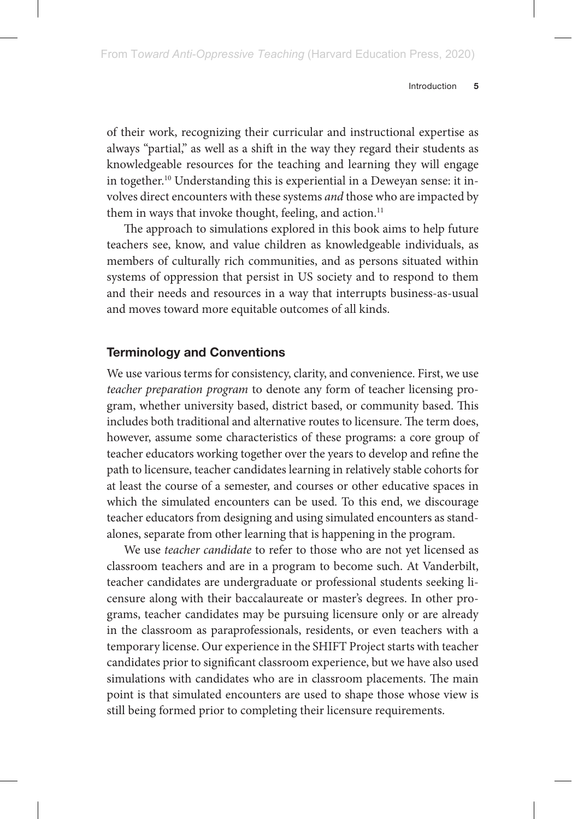of their work, recognizing their curricular and instructional expertise as always "partial," as well as a shift in the way they regard their students as knowledgeable resources for the teaching and learning they will engage in together.10 Understanding this is experiential in a Deweyan sense: it involves direct encounters with these systems *and* those who are impacted by them in ways that invoke thought, feeling, and action.<sup>11</sup>

The approach to simulations explored in this book aims to help future teachers see, know, and value children as knowledgeable individuals, as members of culturally rich communities, and as persons situated within systems of oppression that persist in US society and to respond to them and their needs and resources in a way that interrupts business-as-usual and moves toward more equitable outcomes of all kinds.

### **Terminology and Conventions**

We use various terms for consistency, clarity, and convenience. First, we use *teacher preparation program* to denote any form of teacher licensing program, whether university based, district based, or community based. This includes both traditional and alternative routes to licensure. The term does, however, assume some characteristics of these programs: a core group of teacher educators working together over the years to develop and refine the path to licensure, teacher candidates learning in relatively stable cohorts for at least the course of a semester, and courses or other educative spaces in which the simulated encounters can be used. To this end, we discourage teacher educators from designing and using simulated encounters as standalones, separate from other learning that is happening in the program.

We use *teacher candidate* to refer to those who are not yet licensed as classroom teachers and are in a program to become such. At Vanderbilt, teacher candidates are undergraduate or professional students seeking licensure along with their baccalaureate or master's degrees. In other programs, teacher candidates may be pursuing licensure only or are already in the classroom as paraprofessionals, residents, or even teachers with a temporary license. Our experience in the SHIFT Project starts with teacher candidates prior to significant classroom experience, but we have also used simulations with candidates who are in classroom placements. The main point is that simulated encounters are used to shape those whose view is still being formed prior to completing their licensure requirements.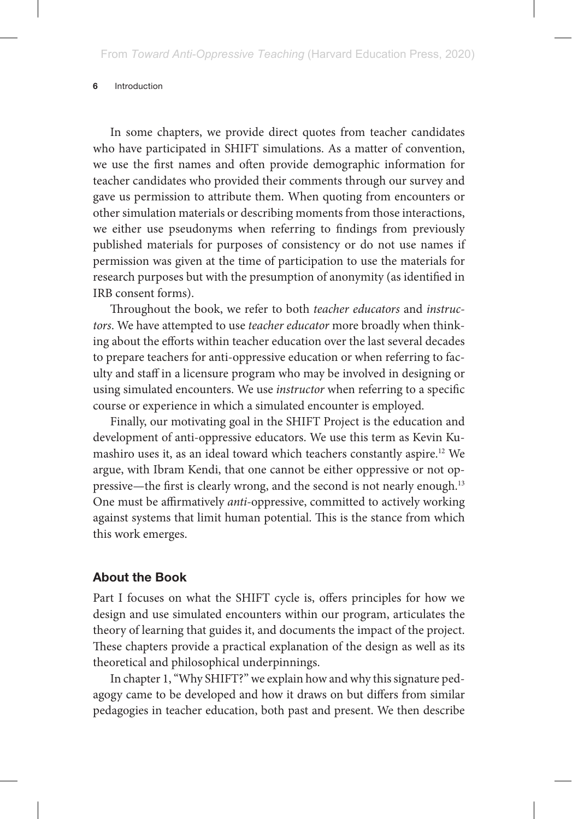In some chapters, we provide direct quotes from teacher candidates who have participated in SHIFT simulations. As a matter of convention, we use the first names and often provide demographic information for teacher candidates who provided their comments through our survey and gave us permission to attribute them. When quoting from encounters or other simulation materials or describing moments from those interactions, we either use pseudonyms when referring to findings from previously published materials for purposes of consistency or do not use names if permission was given at the time of participation to use the materials for research purposes but with the presumption of anonymity (as identified in IRB consent forms).

Throughout the book, we refer to both *teacher educators* and *instructors*. We have attempted to use *teacher educator* more broadly when thinking about the efforts within teacher education over the last several decades to prepare teachers for anti-oppressive education or when referring to faculty and staff in a licensure program who may be involved in designing or using simulated encounters. We use *instructor* when referring to a specific course or experience in which a simulated encounter is employed.

Finally, our motivating goal in the SHIFT Project is the education and development of anti-oppressive educators. We use this term as Kevin Kumashiro uses it, as an ideal toward which teachers constantly aspire.12 We argue, with Ibram Kendi, that one cannot be either oppressive or not oppressive—the first is clearly wrong, and the second is not nearly enough.13 One must be affirmatively *anti-*oppressive, committed to actively working against systems that limit human potential. This is the stance from which this work emerges.

### **About the Book**

Part I focuses on what the SHIFT cycle is, offers principles for how we design and use simulated encounters within our program, articulates the theory of learning that guides it, and documents the impact of the project. These chapters provide a practical explanation of the design as well as its theoretical and philosophical underpinnings.

In chapter 1, "Why SHIFT?" we explain how and why this signature pedagogy came to be developed and how it draws on but differs from similar pedagogies in teacher education, both past and present. We then describe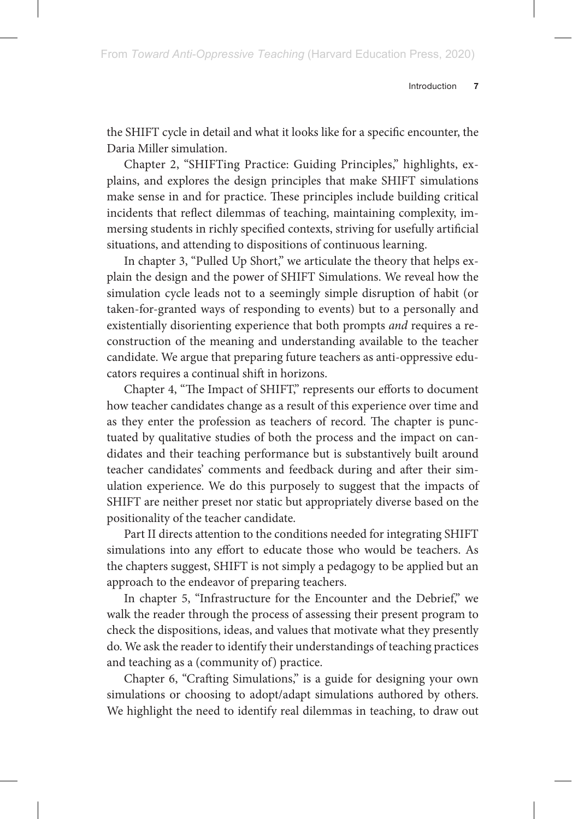the SHIFT cycle in detail and what it looks like for a specific encounter, the Daria Miller simulation.

Chapter 2, "SHIFTing Practice: Guiding Principles," highlights, explains, and explores the design principles that make SHIFT simulations make sense in and for practice. These principles include building critical incidents that reflect dilemmas of teaching, maintaining complexity, immersing students in richly specified contexts, striving for usefully artificial situations, and attending to dispositions of continuous learning.

In chapter 3, "Pulled Up Short," we articulate the theory that helps explain the design and the power of SHIFT Simulations. We reveal how the simulation cycle leads not to a seemingly simple disruption of habit (or taken-for-granted ways of responding to events) but to a personally and existentially disorienting experience that both prompts *and* requires a reconstruction of the meaning and understanding available to the teacher candidate. We argue that preparing future teachers as anti-oppressive educators requires a continual shift in horizons.

Chapter 4, "The Impact of SHIFT," represents our efforts to document how teacher candidates change as a result of this experience over time and as they enter the profession as teachers of record. The chapter is punctuated by qualitative studies of both the process and the impact on candidates and their teaching performance but is substantively built around teacher candidates' comments and feedback during and after their simulation experience. We do this purposely to suggest that the impacts of SHIFT are neither preset nor static but appropriately diverse based on the positionality of the teacher candidate.

Part II directs attention to the conditions needed for integrating SHIFT simulations into any effort to educate those who would be teachers. As the chapters suggest, SHIFT is not simply a pedagogy to be applied but an approach to the endeavor of preparing teachers.

In chapter 5, "Infrastructure for the Encounter and the Debrief," we walk the reader through the process of assessing their present program to check the dispositions, ideas, and values that motivate what they presently do. We ask the reader to identify their understandings of teaching practices and teaching as a (community of) practice.

Chapter 6, "Crafting Simulations," is a guide for designing your own simulations or choosing to adopt/adapt simulations authored by others. We highlight the need to identify real dilemmas in teaching, to draw out